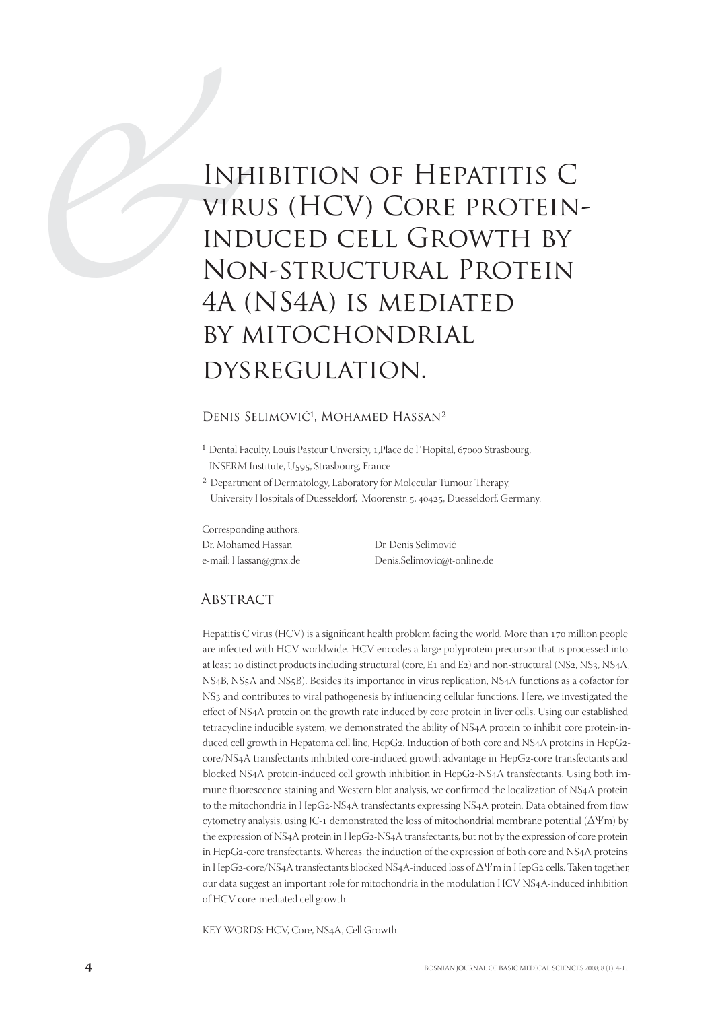# INE<br>
VIRU<br>
IND<br>
IND<br>
NO<br>
4A (<br>
BY A Inhibition of Hepatitis C virus (HCV) Core proteininduced cell Growth by Non-structural Protein 4A (NS4A) is mediated by mitochondrial dysregulation.

#### DENIS SELIMOVIĆ<sup>1</sup>, MOHAMED HASSAN<sup>2</sup>

- <sup>1</sup> Dental Faculty, Louis Pasteur Unversity, 1, Place de l'Hopital, 67000 Strasbourg, INSERM Institute, U595, Strasbourg, France
- <sup>2</sup> Department of Dermatology, Laboratory for Molecular Tumour Therapy, University Hospitals of Duesseldorf, Moorenstr. 5, 40425, Duesseldorf, Germany.

Corresponding authors: Dr. Mohamed Hassan Dr. Denis Selimović

e-mail: Hassan@gmx.de Denis.Selimovic@t-online.de

#### **ABSTRACT**

Hepatitis C virus (HCV) is a significant health problem facing the world. More than 170 million people are infected with HCV worldwide. HCV encodes a large polyprotein precursor that is processed into at least 10 distinct products including structural (core, E1 and E2) and non-structural (NS2, NS3, NS4A, NS4B, NS<sub>5</sub>A and NS<sub>5</sub>B). Besides its importance in virus replication, NS4A functions as a cofactor for NS<sub>3</sub> and contributes to viral pathogenesis by influencing cellular functions. Here, we investigated the effect of NS4A protein on the growth rate induced by core protein in liver cells. Using our established tetracycline inducible system, we demonstrated the ability of NSA protein to inhibit core protein-induced cell growth in Hepatoma cell line, HepG2. Induction of both core and NS4A proteins in HepG2core/NS4A transfectants inhibited core-induced growth advantage in HepG2-core transfectants and blocked NS4A protein-induced cell growth inhibition in HepG2-NS4A transfectants. Using both immune fluorescence staining and Western blot analysis, we confirmed the localization of NS4A protein to the mitochondria in HepG2-NS4A transfectants expressing NS4A protein. Data obtained from flow cytometry analysis, using JC-1 demonstrated the loss of mitochondrial membrane potential  $(\Delta \Psi m)$  by the expression of NS4A protein in HepG2-NS4A transfectants, but not by the expression of core protein in HepG2-core transfectants. Whereas, the induction of the expression of both core and NS4A proteins in HepG2-core/NS4A transfectants blocked NS4A-induced loss of  $\Delta\Psi$ m in HepG2 cells. Taken together, our data suggest an important role for mitochondria in the modulation HCV NS4A-induced inhibition of HCV core-mediated cell growth.

KEY WORDS: HCV, Core, NS4A, Cell Growth.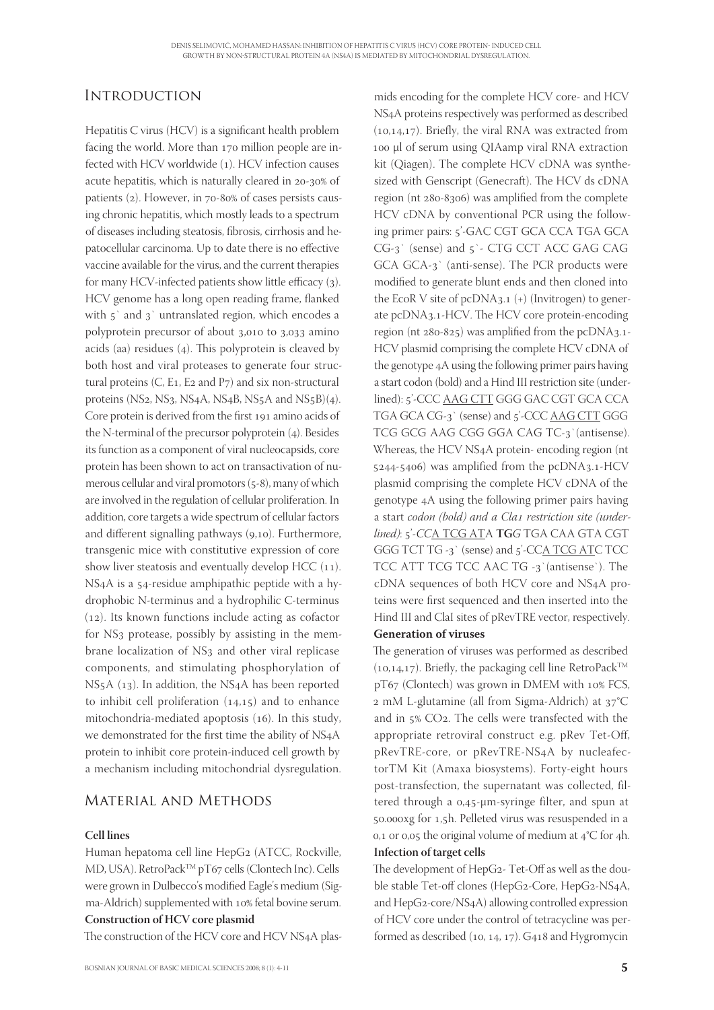# **INTRODUCTION**

Hepatitis  $C$  virus (HCV) is a significant health problem facing the world. More than 170 million people are infected with HCV worldwide (1). HCV infection causes acute hepatitis, which is naturally cleared in 20-30% of patients  $(2)$ . However, in  $70-80\%$  of cases persists causing chronic hepatitis, which mostly leads to a spectrum of diseases including steatosis, fibrosis, cirrhosis and hepatocellular carcinoma. Up to date there is no effective vaccine available for the virus, and the current therapies for many HCV-infected patients show little efficacy (3). HCV genome has a long open reading frame, flanked with  $5'$  and  $3'$  untranslated region, which encodes a polyprotein precursor of about 3,010 to 3,033 amino acids (aa) residues  $(4)$ . This polyprotein is cleaved by both host and viral proteases to generate four structural proteins  $(C, E_1, E_2, and P_7)$  and six non-structural proteins (NS<sub>2</sub>, NS<sub>3</sub>, NS<sub>4</sub>A, NS<sub>4</sub>B, NS<sub>5</sub>A and NS<sub>5</sub>B)(4). Core protein is derived from the first 191 amino acids of the N-terminal of the precursor polyprotein (4). Besides its function as a component of viral nucleocapsids, core protein has been shown to act on transactivation of numerous cellular and viral promotors  $(5-8)$ , many of which are involved in the regulation of cellular proliferation. In addition, core targets a wide spectrum of cellular factors and different signalling pathways  $(9,10)$ . Furthermore, transgenic mice with constitutive expression of core show liver steatosis and eventually develop HCC  $(11)$ . NS<sub>4</sub>A is a 54-residue amphipathic peptide with a hydrophobic N-terminus and a hydrophilic C-terminus  $(12)$ . Its known functions include acting as cofactor for NS<sub>3</sub> protease, possibly by assisting in the membrane localization of NS3 and other viral replicase components, and stimulating phosphorylation of NS<sub>5</sub>A (13). In addition, the NS<sub>4</sub>A has been reported to inhibit cell proliferation  $(14,15)$  and to enhance mitochondria-mediated apoptosis  $(16)$ . In this study, we demonstrated for the first time the ability of NS4A protein to inhibit core protein-induced cell growth by a mechanism including mitochondrial dysregulation.

# Material and Methods

#### **Cell lines**

Human hepatoma cell line HepG2 (ATCC, Rockville, MD, USA). RetroPack<sup>TM</sup> pT67 cells (Clontech Inc). Cells were grown in Dulbecco's modified Eagle's medium (Sigma-Aldrich) supplemented with 10% fetal bovine serum. **Construction of HCV core plasmid**

The construction of the HCV core and HCV NS4A plas-

mids encoding for the complete HCV core- and HCV NSA proteins respectively was performed as described  $(10,14,17)$ . Briefly, the viral RNA was extracted from μl of serum using QIAamp viral RNA extraction kit (Qiagen). The complete HCV cDNA was synthesized with Genscript (Genecraft). The HCV ds cDNA region (nt  $280-8306$ ) was amplified from the complete HCV cDNA by conventional PCR using the following primer pairs: 5'-GAC CGT GCA CCA TGA GCA  $CG-3$  (sense) and  $5$  - CTG CCT ACC GAG CAG  $GCA$   $GCA-3$  (anti-sense). The PCR products were modified to generate blunt ends and then cloned into the EcoR V site of  $pcDNA_{3.1}$  (+) (Invitrogen) to generate pcDNA3.1-HCV. The HCV core protein-encoding region (nt  $280-825$ ) was amplified from the pcDNA3.1-HCV plasmid comprising the complete HCV cDNA of the genotype 4A using the following primer pairs having a start codon (bold) and a Hind III restriction site (underlined): 5'-CCC AAG CTT GGG GAC CGT GCA CCA TGA GCA CG-3` (sense) and 5'-CCC AAG CTT GGG TCG GCG AAG CGG GGA CAG TC-3' (antisense). Whereas, the HCV NSA protein- encoding region (nt  $5244-5406$ ) was amplified from the pcDNA3.1-HCV plasmid comprising the complete HCV cDNA of the genotype A using the following primer pairs having a start codon (bold) and a Cla1 restriction site (underlined): 5'-CCA TCG ATA TGG TGA CAA GTA CGT GGG TCT TG -3 (sense) and 5'-CCA TCG ATC TCC TCC ATT TCG TCC AAC TG  $-3$  (antisense). The cDNA sequences of both HCV core and NS4A proteins were first sequenced and then inserted into the Hind III and ClaI sites of pRevTRE vector, respectively.

#### **Generation of viruses**

The generation of viruses was performed as described  $(10,14,17)$ . Briefly, the packaging cell line RetroPack<sup>TM</sup> pT67 (Clontech) was grown in DMEM with 10% FCS,  $2$  mM L-glutamine (all from Sigma-Aldrich) at  $37^{\circ}$ C and in 5% CO2. The cells were transfected with the appropriate retroviral construct e.g. pRev Tet-Off, pRevTRE-core, or pRevTRE-NSA by nucleafectorTM Kit (Amaxa biosystems). Forty-eight hours post-transfection, the supernatant was collected, filtered through a  $0.45$ - $\mu$ m-syringe filter, and spun at 50.000xg for 1,5h. Pelleted virus was resuspended in a 0,1 or 0,05 the original volume of medium at  $4^{\circ}C$  for 4h.

#### **Infection of target cells**

The development of HepG2- Tet-Off as well as the double stable Tet-off clones (HepG2-Core, HepG2-NS4A, and HepG2-core/NS4A) allowing controlled expression of HCV core under the control of tetracycline was performed as described  $(10, 14, 17)$ . G418 and Hygromycin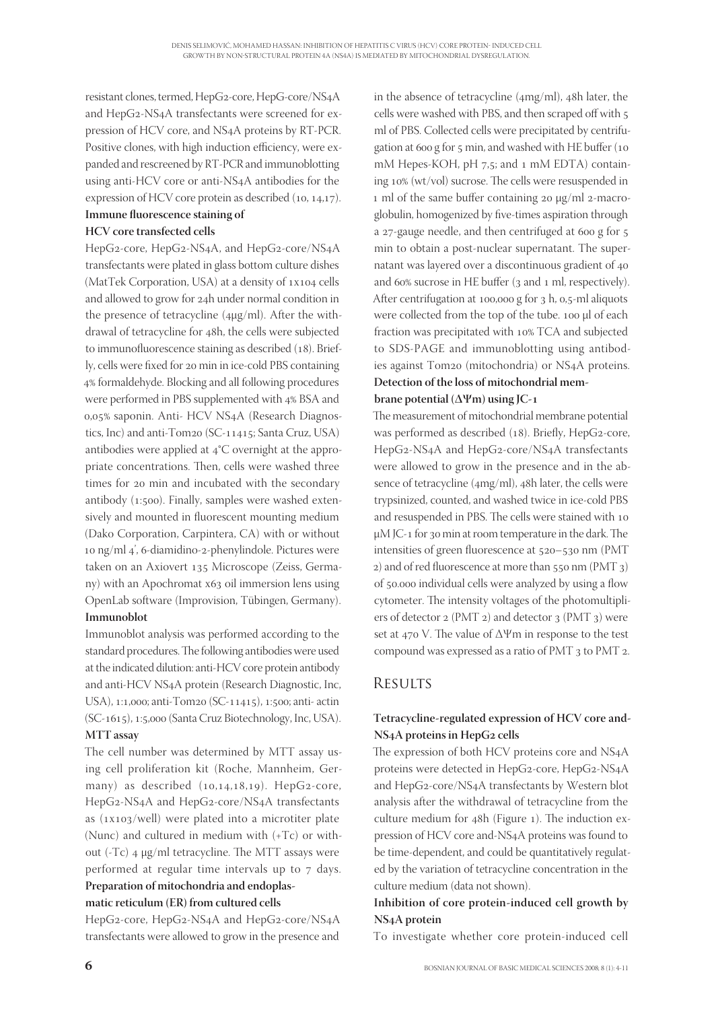resistant clones, termed, HepG-core, HepG-core/NSA and HepG2-NS4A transfectants were screened for expression of HCV core, and NSA proteins by RT-PCR. Positive clones, with high induction efficiency, were expanded and rescreened by RT-PCR and immunoblotting using anti-HCV core or anti-NSA antibodies for the expression of HCV core protein as described  $(10, 14, 17)$ .

#### **Immune fluorescence staining of HCV core transfected cells**

HepG2-core, HepG2-NS4A, and HepG2-core/NS4A transfectants were plated in glass bottom culture dishes (MatTek Corporation, USA) at a density of 1x104 cells and allowed to grow for 24h under normal condition in the presence of tetracycline  $(4\mu g/ml)$ . After the withdrawal of tetracycline for 48h, the cells were subjected to immunofluorescence staining as described (18). Briefly, cells were fixed for 20 min in ice-cold PBS containing 4% formaldehyde. Blocking and all following procedures were performed in PBS supplemented with 4% BSA and 0,05% saponin. Anti- HCV NS4A (Research Diagnostics, Inc) and anti-Tom<sub>20</sub> (SC- $11415$ ; Santa Cruz, USA) antibodies were applied at  $4^{\circ}$ C overnight at the appropriate concentrations. Then, cells were washed three times for 20 min and incubated with the secondary antibody  $(1:500)$ . Finally, samples were washed extensively and mounted in fluorescent mounting medium (Dako Corporation, Carpintera, CA) with or without 10 ng/ml 4', 6-diamidino-2-phenylindole. Pictures were taken on an Axiovert 135 Microscope (Zeiss, Germany) with an Apochromat x63 oil immersion lens using OpenLab software (Improvision, Tübingen, Germany). **Immunoblot**

Immunoblot analysis was performed according to the standard procedures. The following antibodies were used at the indicated dilution: anti-HCV core protein antibody and anti-HCV NSA protein (Research Diagnostic, Inc, USA), 1:1,000; anti-Tom20 (SC-11415), 1:500; anti- actin (SC-1615), 1:5,000 (Santa Cruz Biotechnology, Inc, USA). **MTT assay**

The cell number was determined by MTT assay using cell proliferation kit (Roche, Mannheim, Germany) as described  $(10,14,18,19)$ . HepG2-core, HepG2-NS4A and HepG2-core/NS4A transfectants as  $(xx103/well)$  were plated into a microtiter plate (Nunc) and cultured in medium with (+Tc) or without (-Tc)  $4 \mu g/ml$  tetracycline. The MTT assays were performed at regular time intervals up to 7 days. **Preparation of mitochondria and endoplas-**

#### **matic reticulum (ER) from cultured cells**

HepG2-core, HepG2-NS4A and HepG2-core/NS4A transfectants were allowed to grow in the presence and

in the absence of tetracycline  $(4mg/ml)$ , 48h later, the cells were washed with PBS, and then scraped off with ml of PBS. Collected cells were precipitated by centrifugation at  $600 g$  for  $5 m$ in, and washed with HE buffer (10 mM Hepes-KOH, pH  $7,5$ ; and  $1 \text{ mM}$  EDTA) containing 10% (wt/vol) sucrose. The cells were resuspended in 1 ml of the same buffer containing 20  $\mu$ g/ml 2-macroglobulin, homogenized by five-times aspiration through a  $27$ -gauge needle, and then centrifuged at 600 g for  $5$ min to obtain a post-nuclear supernatant. The supernatant was layered over a discontinuous gradient of and 60% sucrose in HE buffer (3 and 1 ml, respectively). After centrifugation at 100,000 g for  $3 h$ , 0,5-ml aliquots were collected from the top of the tube. 100 µl of each fraction was precipitated with 10% TCA and subjected to SDS-PAGE and immunoblotting using antibodies against Tom<sub>20</sub> (mitochondria) or NS<sub>4</sub>A proteins. **Detection of the loss of mitochondrial mem-**

#### **brane potential (ΔΨm) using JC-**

The measurement of mitochondrial membrane potential was performed as described (18). Briefly, HepG2-core, HepG2-NS4A and HepG2-core/NS4A transfectants were allowed to grow in the presence and in the absence of tetracycline  $(4mg/ml)$ ,  $48h$  later, the cells were trypsinized, counted, and washed twice in ice-cold PBS and resuspended in PBS. The cells were stained with 10 μ $M$  JC-1 for 30 min at room temperature in the dark. The intensities of green fluorescence at 520-530 nm (PMT 2) and of red fluorescence at more than  $550$  nm (PMT 3) of 50.000 individual cells were analyzed by using a flow cytometer. The intensity voltages of the photomultipliers of detector  $2 (PMT 2)$  and detector  $3 (PMT 3)$  were set at  $470$  V. The value of  $\Delta \Psi$ m in response to the test compound was expressed as a ratio of PMT 3 to PMT 2.

# **RESULTS**

## **Tetracycline-regulated expression of HCV core and-NS<sub>4</sub>A** proteins in HepG<sub>2</sub> cells

The expression of both HCV proteins core and NS4A proteins were detected in HepG2-core, HepG2-NS4A and HepG2-core/NS4A transfectants by Western blot analysis after the withdrawal of tetracycline from the culture medium for 48h (Figure 1). The induction expression of HCV core and-NSA proteins was found to be time-dependent, and could be quantitatively regulated by the variation of tetracycline concentration in the culture medium (data not shown).

## **Inhibition of core protein-induced cell growth by NSA protein**

To investigate whether core protein-induced cell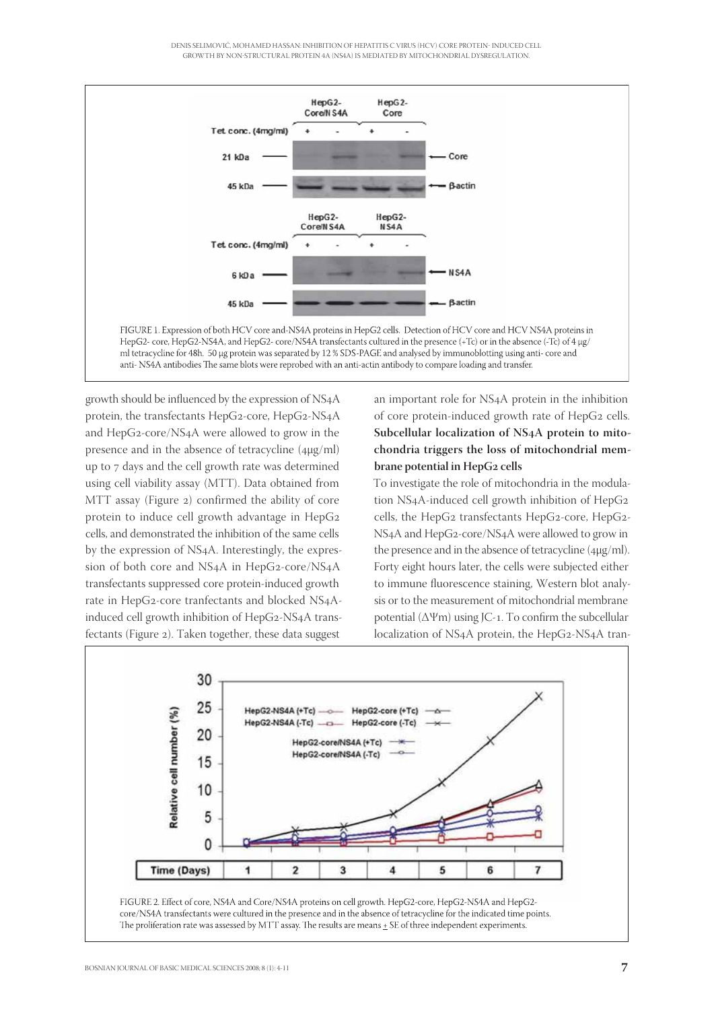DENIS SELIMOVIĆ, MOHAMED HASSAN: INHIBITION OF HEPATITIS C VIRUS (HCV) CORE PROTEIN- INDUCED CELL GROWTH BY NONSTRUCTURAL PROTEIN 4A NS4A IS MEDIATED BY MITOCHONDRIAL DYSREGULATION.



growth should be influenced by the expression of NS4A protein, the transfectants  $HepG_2$ -core,  $HepG_2$ -NS<sub>4</sub>A and HepG2-core/NS4A were allowed to grow in the presence and in the absence of tetracycline (μg/ml) up to 7 days and the cell growth rate was determined using cell viability assay (MTT). Data obtained from MTT assay (Figure 2) confirmed the ability of core protein to induce cell growth advantage in HepG cells, and demonstrated the inhibition of the same cells by the expression of NSA. Interestingly, the expression of both core and NS4A in HepG2-core/NS4A transfectants suppressed core protein-induced growth rate in HepG2-core tranfectants and blocked NS4Ainduced cell growth inhibition of HepG2-NS4A transfectants (Figure 2). Taken together, these data suggest

an important role for NSA protein in the inhibition of core protein-induced growth rate of HepG<sub>2</sub> cells. Subcellular localization of NS<sub>4</sub>A protein to mito**chondria triggers the loss of mitochondrial membrane potential in HepG2 cells** 

To investigate the role of mitochondria in the modulation NS4A-induced cell growth inhibition of HepG2 cells, the HepG2 transfectants HepG2-core, HepG2-NS<sub>4</sub>A and HepG<sub>2</sub>-core/NS<sub>4</sub>A were allowed to grow in the presence and in the absence of tetracycline (μg/ml). Forty eight hours later, the cells were subjected either to immune fluorescence staining, Western blot analysis or to the measurement of mitochondrial membrane potential  $(\Delta \Psi m)$  using JC-1. To confirm the subcellular localization of NS4A protein, the HepG2-NS4A tran-

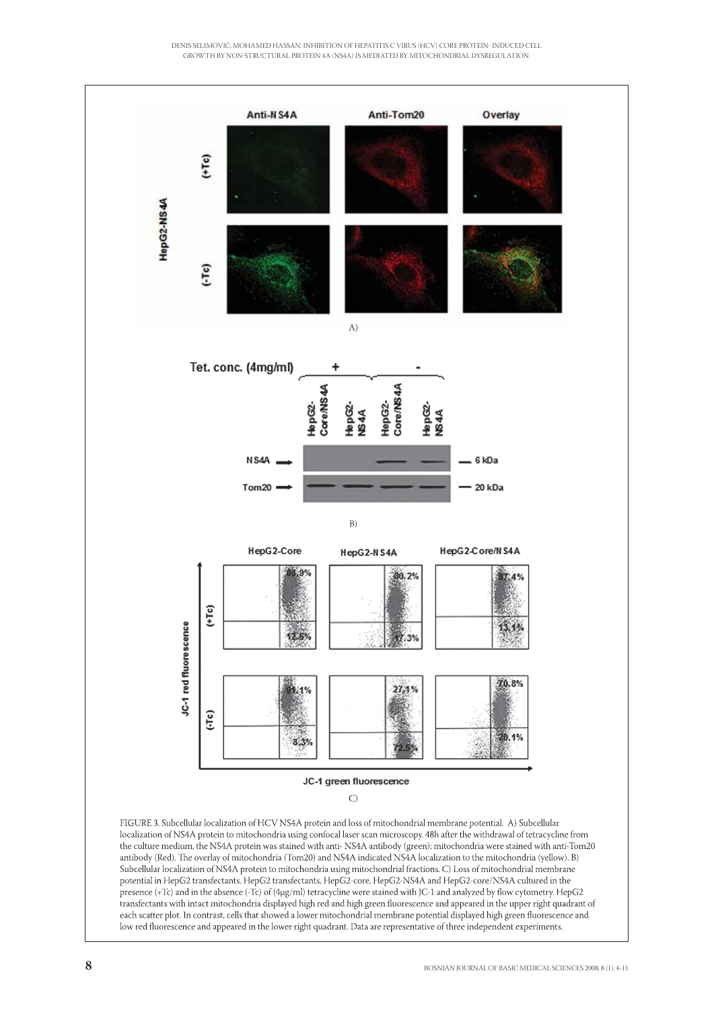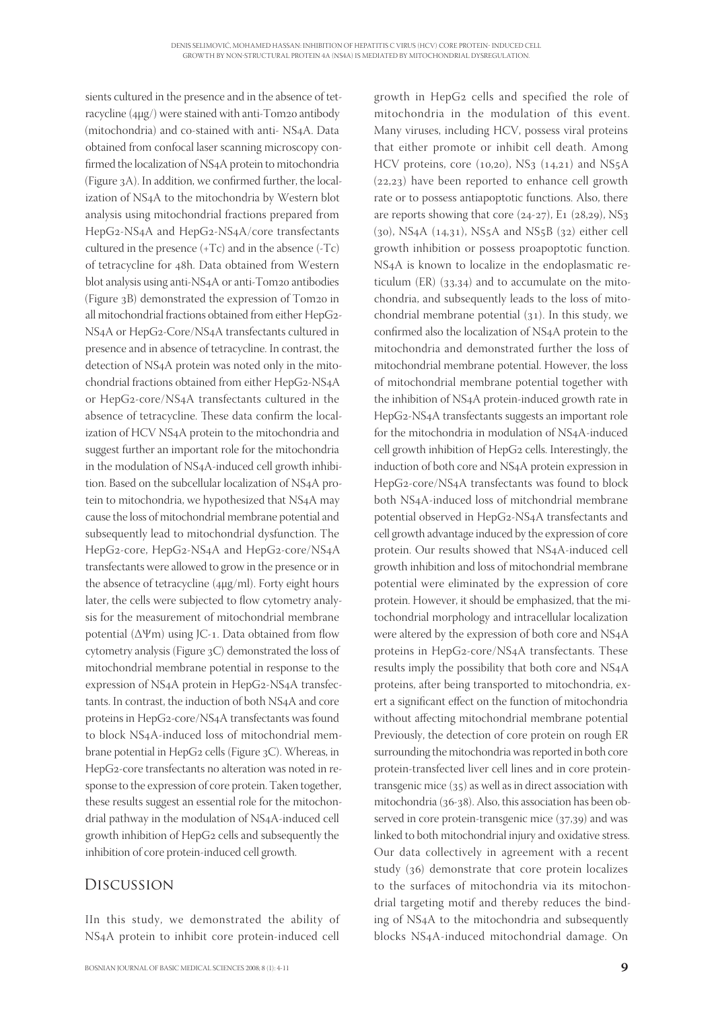sients cultured in the presence and in the absence of tetracycline  $(4\mu\text{g})$  were stained with anti-Tom<sub>20</sub> antibody (mitochondria) and co-stained with anti- NS4A. Data obtained from confocal laser scanning microscopy confirmed the localization of NS4A protein to mitochondria (Figure  $3A$ ). In addition, we confirmed further, the localization of NS4A to the mitochondria by Western blot analysis using mitochondrial fractions prepared from HepG2-NS4A and HepG2-NS4A/core transfectants cultured in the presence  $(+Tc)$  and in the absence  $(-Tc)$ of tetracycline for 48h. Data obtained from Western blot analysis using anti-NS4A or anti-Tom20 antibodies (Figure  $3B$ ) demonstrated the expression of Tom20 in all mitochondrial fractions obtained from either HepG2-NS4A or HepG2-Core/NS4A transfectants cultured in presence and in absence of tetracycline. In contrast, the detection of NS4A protein was noted only in the mitochondrial fractions obtained from either HepG2-NS4A or HepG2-core/NS4A transfectants cultured in the absence of tetracycline. These data confirm the localization of HCV NSA protein to the mitochondria and suggest further an important role for the mitochondria in the modulation of NS4A-induced cell growth inhibition. Based on the subcellular localization of NS4A protein to mitochondria, we hypothesized that NS4A may cause the loss of mitochondrial membrane potential and subsequently lead to mitochondrial dysfunction. The HepG2-core, HepG2-NS4A and HepG2-core/NS4A transfectants were allowed to grow in the presence or in the absence of tetracycline (μg/ml). Forty eight hours later, the cells were subjected to flow cytometry analysis for the measurement of mitochondrial membrane potential  $(\Delta \Psi m)$  using JC-1. Data obtained from flow cytometry analysis (Figure  $3C$ ) demonstrated the loss of mitochondrial membrane potential in response to the expression of NS4A protein in HepG2-NS4A transfectants. In contrast, the induction of both NS4A and core proteins in HepG2-core/NS4A transfectants was found to block NS4A-induced loss of mitochondrial membrane potential in HepG2 cells (Figure 3C). Whereas, in HepG2-core transfectants no alteration was noted in response to the expression of core protein. Taken together, these results suggest an essential role for the mitochondrial pathway in the modulation of NS4A-induced cell growth inhibition of HepG<sub>2</sub> cells and subsequently the inhibition of core protein-induced cell growth.

## Discussion

IIn this study, we demonstrated the ability of NSA protein to inhibit core protein-induced cell

growth in HepG<sub>2</sub> cells and specified the role of mitochondria in the modulation of this event. Many viruses, including HCV, possess viral proteins that either promote or inhibit cell death. Among HCV proteins, core  $(10,20)$ , NS<sub>3</sub>  $(14,21)$  and NS<sub>5</sub>A  $(22,23)$  have been reported to enhance cell growth rate or to possess antiapoptotic functions. Also, there are reports showing that core  $(24-27)$ , E1  $(28,29)$ , NS<sub>3</sub>  $(30)$ , NS<sub>4</sub>A  $(14,31)$ , NS<sub>5</sub>A and NS<sub>5</sub>B  $(32)$  either cell growth inhibition or possess proapoptotic function. NSA is known to localize in the endoplasmatic reticulum (ER)  $(33,34)$  and to accumulate on the mitochondria, and subsequently leads to the loss of mitochondrial membrane potential  $(31)$ . In this study, we confirmed also the localization of NS4A protein to the mitochondria and demonstrated further the loss of mitochondrial membrane potential. However, the loss of mitochondrial membrane potential together with the inhibition of NSA protein-induced growth rate in HepG2-NS4A transfectants suggests an important role for the mitochondria in modulation of NS4A-induced cell growth inhibition of HepG2 cells. Interestingly, the induction of both core and NSA protein expression in HepG2-core/NS4A transfectants was found to block both NSA-induced loss of mitchondrial membrane potential observed in HepG2-NS4A transfectants and cell growth advantage induced by the expression of core protein. Our results showed that NS4A-induced cell growth inhibition and loss of mitochondrial membrane potential were eliminated by the expression of core protein. However, it should be emphasized, that the mitochondrial morphology and intracellular localization were altered by the expression of both core and NS4A proteins in HepG2-core/NS4A transfectants. These results imply the possibility that both core and NS4A proteins, after being transported to mitochondria, exert a significant effect on the function of mitochondria without affecting mitochondrial membrane potential Previously, the detection of core protein on rough ER surrounding the mitochondria was reported in both core protein-transfected liver cell lines and in core proteintransgenic mice  $(35)$  as well as in direct association with mitochondria (36-38). Also, this association has been observed in core protein-transgenic mice  $(37, 39)$  and was linked to both mitochondrial injury and oxidative stress. Our data collectively in agreement with a recent study  $(36)$  demonstrate that core protein localizes to the surfaces of mitochondria via its mitochondrial targeting motif and thereby reduces the binding of NSA to the mitochondria and subsequently blocks NSA-induced mitochondrial damage. On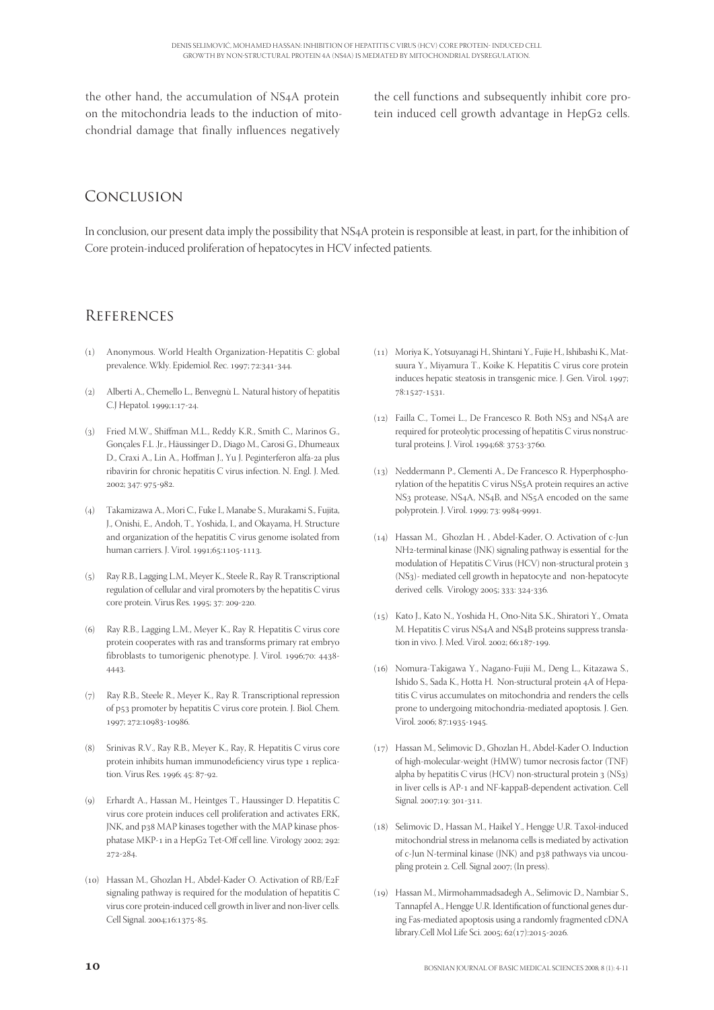the other hand, the accumulation of NS4A protein on the mitochondria leads to the induction of mitochondrial damage that finally influences negatively the cell functions and subsequently inhibit core protein induced cell growth advantage in HepG2 cells.

## Conclusion

In conclusion, our present data imply the possibility that NS4A protein is responsible at least, in part, for the inhibition of Core protein-induced proliferation of hepatocytes in HCV infected patients.

## **REFERENCES**

- () Anonymous. World Health Organization-Hepatitis C: global prevalence. Wkly. Epidemiol. Rec. 1997; 72:341-344.
- () Alberti A., Chemello L., Benvegnù L. Natural history of hepatitis C.J Hepatol. 1999;1:17-24.
- (3) Fried M.W., Shiffman M.L., Reddy K.R., Smith C., Marinos G., Gonçales F.L .Jr., Häussinger D., Diago M., Carosi G., Dhumeaux D., Craxi A., Lin A., Hoffman J., Yu J. Peginterferon alfa-2a plus ribavirin for chronic hepatitis C virus infection. N. Engl. J. Med. 2002; 347: 975-982.
- () Takamizawa A., Mori C., Fuke I., Manabe S., Murakami S., Fujita, J., Onishi, E., Andoh, T., Yoshida, I., and Okayama, H. Structure and organization of the hepatitis C virus genome isolated from human carriers. J. Virol. 1991;65:1105-1113.
- () Ray R.B., Lagging L.M., Meyer K., Steele R., Ray R. Transcriptional regulation of cellular and viral promoters by the hepatitis C virus core protein. Virus Res. 1995; 37: 209-220.
- (6) Ray R.B., Lagging L.M., Meyer K., Ray R. Hepatitis C virus core protein cooperates with ras and transforms primary rat embryo fibroblasts to tumorigenic phenotype. J. Virol. 1996;70: 4438-4443.
- (7) Ray R.B., Steele R., Meyer K., Ray R. Transcriptional repression of p53 promoter by hepatitis C virus core protein. J. Biol. Chem. 1997; 272:10983-10986.
- (8) Srinivas R.V., Ray R.B., Meyer K., Ray, R. Hepatitis C virus core protein inhibits human immunodeficiency virus type 1 replication. Virus Res. 1996; 45: 87-92.
- () Erhardt A., Hassan M., Heintges T., Haussinger D. Hepatitis C virus core protein induces cell proliferation and activates ERK, JNK, and p38 MAP kinases together with the MAP kinase phosphatase MKP-1 in a HepG2 Tet-Off cell line. Virology 2002; 292:  $272 - 284$
- (10) Hassan M., Ghozlan H., Abdel-Kader O. Activation of RB/E2F signaling pathway is required for the modulation of hepatitis C virus core protein-induced cell growth in liver and non-liver cells. Cell Signal. 2004;16:1375-85.
- () Moriya K., Yotsuyanagi H., Shintani Y., Fujie H., Ishibashi K., Matsuura Y., Miyamura T., Koike K. Hepatitis C virus core protein induces hepatic steatosis in transgenic mice. J. Gen. Virol. 1997; 78:1527-1531.
- () Failla C., Tomei L., De Francesco R. Both NS and NSA are required for proteolytic processing of hepatitis C virus nonstructural proteins. J. Virol. 1994;68: 3753-3760.
- (13) Neddermann P., Clementi A., De Francesco R. Hyperphosphorylation of the hepatitis C virus NS5A protein requires an active NS<sub>3</sub> protease, NS<sub>4</sub>A, NS<sub>4</sub>B, and NS<sub>5</sub>A encoded on the same polyprotein. J. Virol. 1999; 73: 9984-9991.
- () Hassan M., Ghozlan H. , Abdel-Kader, O. Activation of c-Jun NH<sub>2</sub>-terminal kinase (JNK) signaling pathway is essential for the modulation of Hepatitis C Virus (HCV) non-structural protein (NS)- mediated cell growth in hepatocyte and non-hepatocyte derived cells. Virology 2005; 333: 324-336.
- () Kato J., Kato N., Yoshida H., Ono-Nita S.K., Shiratori Y., Omata M. Hepatitis C virus NS4A and NS4B proteins suppress translation in vivo. J. Med. Virol. 2002; 66:187-199.
- () Nomura-Takigawa Y., Nagano-Fujii M., Deng L., Kitazawa S., Ishido S., Sada K., Hotta H. Non-structural protein 4A of Hepatitis C virus accumulates on mitochondria and renders the cells prone to undergoing mitochondria-mediated apoptosis. J. Gen. Virol. 2006; 87:1935-1945.
- () Hassan M., Selimovic D., Ghozlan H., Abdel-Kader O. Induction of high-molecular-weight (HMW) tumor necrosis factor (TNF) alpha by hepatitis C virus (HCV) non-structural protein  $3$  (NS $3$ ) in liver cells is AP-1 and NF-kappaB-dependent activation. Cell Signal. 2007;19: 301-311.
- () Selimovic D., Hassan M., Haikel Y., Hengge U.R. Taxol-induced mitochondrial stress in melanoma cells is mediated by activation of c-Jun N-terminal kinase (JNK) and p38 pathways via uncoupling protein 2. Cell. Signal 2007; (In press).
- () Hassan M., Mirmohammadsadegh A., Selimovic D., Nambiar S., Tannapfel A., Hengge U.R. Identification of functional genes during Fas-mediated apoptosis using a randomly fragmented cDNA library.Cell Mol Life Sci. 2005; 62(17):2015-2026.